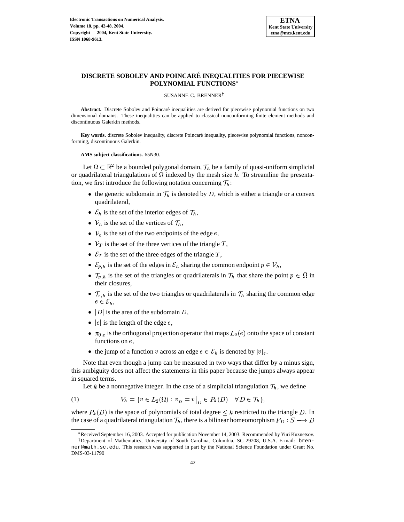

# **DISCRETE SOBOLEV AND POINCARE´ INEQUALITIES FOR PIECEWISE POLYNOMIAL FUNCTIONS**

#### SUSANNE C. BRENNER<sup>†</sup>

Abstract. Discrete Sobolev and Poincaré inequalities are derived for piecewise polynomial functions on two dimensional domains. These inequalities can be applied to classical nonconforming finite element methods and discontinuous Galerkin methods.

**Key** words. discrete Sobolev inequality, discrete Poincaré inequality, piecewise polynomial functions, nonconforming, discontinuous Galerkin.

**AMS subject classifications.** 65N30.

Let  $\Omega \subset \mathbb{R}^2$  be a bounded polygonal domain,  $\mathcal{T}_h$  be a family of quasi-uniform simplicial or quadrilateral triangulations of  $\Omega$  indexed by the mesh size h. To streamline the presentation, we first introduce the following notation concerning  $\mathcal{T}_h$ : :

- the generic subdomain in  $\mathcal{T}_h$  is denoted by D, which is either a triangle or a convex quadrilateral,
- $\mathcal{E}_h$  is the set of the interior edges of  $\mathcal{T}$ ,
- $V_h$  is the set of the vertices of  $\mathcal T$ ,
- $V_e$  is the set of the two endpoints of the edge  $e$ ,
- $V_T$  is the set of the three vertices of the triangle T,
- $\mathcal{E}_T$  is the set of the three edges of the triangle T,
- $\mathcal{E}_{p,h}$  is the set of the edges in  $\mathcal{E}_h$  sharing the common endpoint  $p \in \mathcal{V}_h$ , ,
- $\mathcal{T}_{p,h}$  is the set of the triangles or quadrilaterals in  $\mathcal{T}_h$  that share the point  $p \in \Omega$  in their closures,
- $\mathcal{T}_{e,h}$  is the set of the two triangles or quadrilaterals in  $\mathcal{T}_h$  sharing the common edge  $e \in \mathcal{E}_h$ , ,
- $|D|$  is the area of the subdomain D,
- $|e|$  is the length of the edge  $e$ ,
- $\pi_{0,e}$  is the orthogonal projection operator that maps  $L_2(e)$  onto the space of constant functions on  $e$ ,
- <span id="page-0-0"></span>• the jump of a function v across an edge  $e \in \mathcal{E}_h$  is denoted by  $[v]_e$ .

Note that even though a jump can be measured in two ways that differ by a minus sign, this ambiguity does not affect the statements in this paper because the jumps always appear in squared terms.

Let k be a nonnegative integer. In the case of a simplicial triangulation  $\mathcal{T}_h$ , we define

(1) 
$$
V_h = \{ v \in L_2(\Omega) : v_D = v \big|_D \in P_k(D) \quad \forall D \in \mathcal{T}_h \},
$$

where  $P_k(D)$  is the space of polynomials of total degree  $\leq k$  restricted to the triangle D. In the case of a quadrilateral triangulation  $\mathcal{T}_h$ , there is a bilinear homeomorphism  $F_D: S \longrightarrow D$ 

<sup>\*</sup> Received September 16, 2003. Accepted for publication November 14, 2003. Recommended by Yuri Kuznetsov.

<sup>&</sup>lt;sup>†</sup> Department of Mathematics, University of South Carolina, Columbia, SC 29208, U.S.A. E-mail: brenner@math.sc.edu. This research was supported in part by the National Science Foundation under Grant No. DMS-03-11790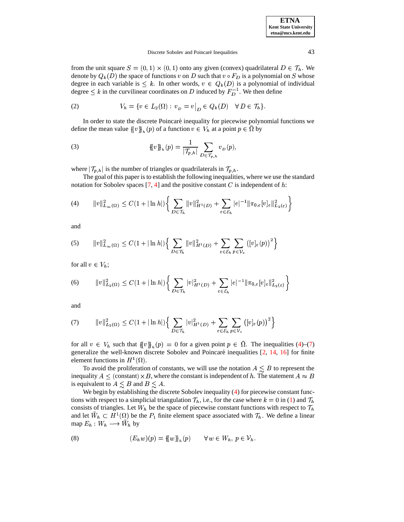<span id="page-1-5"></span>

| <b>ETNA</b>                  |
|------------------------------|
| <b>Kent State University</b> |
| etna@mcs.kent.edu            |

#### <span id="page-1-2"></span>Discrete Sobolev and Poincaré Inequalities 43

from the unit square  $S = (0,1) \times (0,1)$  onto any given (convex) quadrilateral  $D \in \mathcal{T}_h$ . We denote by  $Q_k(D)$  the space of functions  $v$  on  $D$  such that  $v \circ F_D$  is a polynomial on  $S$  whose degree in each variable is  $\leq k$ . In other words,  $v \in Q_k(D)$  is a polynomial of individual degree  $\leq k$  in the curvilinear coordinates on D induced by  $F_D^{-1}$ . We then define

(2) 
$$
V_h = \{ v \in L_2(\Omega) : v_D = v \big|_D \in Q_k(D) \quad \forall D \in \mathcal{T}_h \}.
$$

In order to state the discrete Poincaré inequality for piecewise polynomial functions we define the mean value  $\{ \{v\}_h(p) \text{ of a function } v \in V_h \text{ at a point } p \in \Omega \text{ by }$ 

(3) 
$$
\{\!\!\{v\}\!\!\}_h(p) = \frac{1}{|\mathcal{T}_{p,h}|} \sum_{D \in \mathcal{T}_{p,h}} v_D(p),
$$

where  $|\mathcal{T}_{p,h}|$  is the number of triangles or quadrilaterals in  $\mathcal{T}_{p,h}$ . .

The goal of this paper is to establish the following inequalities, where we use the standard notation for Sobolev spaces [\[7,](#page-6-0) [4\]](#page-6-1) and the positive constant  $C$  is independent of  $h$ :

<span id="page-1-0"></span>
$$
(4) \qquad ||v||_{L_{\infty}(\Omega)}^2 \leq C(1+|\ln h|) \bigg\{ \sum_{D \in \mathcal{T}_h} ||v||_{H^1(D)}^2 + \sum_{e \in \mathcal{E}_h} |e|^{-1} ||\pi_{0,e}[v]_e||_{L_2(e)}^2 \bigg\}
$$

<span id="page-1-7"></span>and

(5) 
$$
||v||_{L_{\infty}(\Omega)}^2 \leq C(1+|\ln h|)\Big\{\sum_{D\in\mathcal{T}_h}||v||_{H^1(D)}^2+\sum_{e\in\mathcal{E}_h}\sum_{p\in\mathcal{V}_e}(|v|_e(p))^2\Big\}
$$

<span id="page-1-6"></span>for all  $v \in V_h$ ; ;

(6) 
$$
||v||_{L_2(\Omega)}^2 \leq C(1+|\ln h|)\bigg\{\sum_{D\in\mathcal{T}_h}|v|_{H^1(D)}^2+\sum_{e\in\mathcal{E}_h}|e|^{-1}||\pi_{0,e}[v]_e||_{L_2(e)}^2\bigg\}
$$

<span id="page-1-1"></span>and

(7) 
$$
||v||_{L_2(\Omega)}^2 \leq C(1+|\ln h|)\Big\{\sum_{D\in\mathcal{T}_h}|v|_{H^1(D)}^2+\sum_{e\in\mathcal{E}_h}\sum_{p\in\mathcal{V}_e}\big(|v|_e(p)\big)^2\Big\}
$$

for all  $v \in V_h$  such that  $\{v\}_h(p) = 0$  for a given point  $p \in \Omega$ . The inequalities [\(4\)](#page-1-0)–[\(7\)](#page-1-1) generalize the well-known discrete Sobolev and Poincaré inequalities [\[2,](#page-6-2) [14,](#page-6-3) [16\]](#page-6-4) for finite element functions in  $H^1(\Omega)$ .

To avoid the proliferation of constants, we will use the notation  $A \leq B$  to represent the inequality  $A \leq$  (constant)  $\times B$ , where the constant is independent of h. The statement  $A \approx B$ is equivalent to  $A \leq B$  and  $B \leq A$ .

We begin by establishing the discrete Sobolev inequality [\(4\)](#page-1-0) for piecewise constant functions with respect to a simplicial triangulation  $\mathcal{T}_h$ , i.e., for the case where  $k = 0$  in [\(1\)](#page-0-0) and  $\mathcal{T}_h$ consists of triangles. Let  $W_h$  be the space of piecewise constant functions with respect to  $\mathcal T$ and let  $W_h \subset H^1(\Omega)$  be the  $P_1$  finite element space associated with  $\mathcal{T}_h$ . We define a linear  $\text{map } E_h : W_h \longrightarrow \tilde{W}_h$  by

<span id="page-1-4"></span><span id="page-1-3"></span>(8) 
$$
(E_h w)(p) = \{w\}_{h}(p) \quad \forall w \in W_h, p \in \mathcal{V}_h.
$$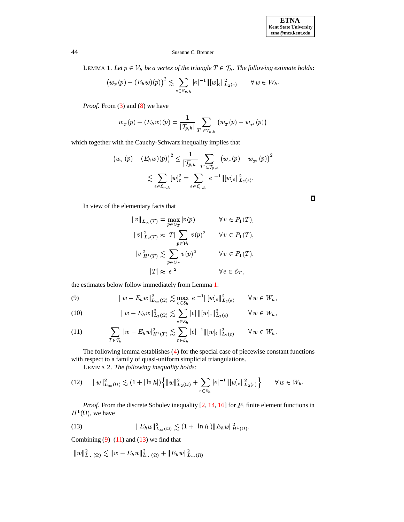$\Box$ 

## 44 Susanne C. Brenner

LEMMA 1. Let  $p \in V_h$  be a vertex of the triangle  $T \in \mathcal{T}_h$ . The following estimate holds:

$$
(w_{\tau}(p) - (E_h w)(p))^2 \lesssim \sum_{e \in \mathcal{E}_{p,h}} |e|^{-1} ||[w]_e||^2_{L_2(e)} \qquad \forall w \in W_h.
$$

*Proof.* From [\(3\)](#page-1-2) and [\(8\)](#page-1-3) we have

$$
w_{_{T}}(p)-(E_{h}w)(p)=\frac{1}{|\mathcal{T}_{p,h}|}\sum_{T'\in \mathcal{T}_{p,h}}\big(w_{_{T}}(p)-w_{_{T'}}(p)\big)
$$

which together with the Cauchy-Schwarz inequality implies that

$$
\left(w_{_{T}}(p) - (E_{h}w)(p)\right)^{2} \leq \frac{1}{|\mathcal{T}_{p,h}|} \sum_{T' \in \mathcal{T}_{p,h}} \left(w_{_{T}}(p) - w_{_{T'}}(p)\right)^{2}
$$

$$
\lesssim \sum_{e \in \mathcal{E}_{p,h}} [w]_{e}^{2} = \sum_{e \in \mathcal{E}_{p,h}} |e|^{-1} ||[w]_{e}||^{2}_{L_{2}(e)}.
$$

In view of the elementary facts that

$$
||v||_{L_{\infty}(T)} = \max_{p \in \mathcal{V}_T} |v(p)| \qquad \forall v \in P_1(T),
$$
  
\n
$$
||v||_{L_2(T)}^2 \approx |T| \sum_{p \in \mathcal{V}_T} v(p)^2 \qquad \forall v \in P_1(T),
$$
  
\n
$$
|v|_{H^1(T)}^2 \lesssim \sum_{p \in \mathcal{V}_T} v(p)^2 \qquad \forall v \in P_1(T),
$$
  
\n
$$
|T| \approx |e|^2 \qquad \forall e \in \mathcal{E}_T,
$$

<span id="page-2-0"></span>the estimates below follow immediately from Lemma [1:](#page-1-4)

(9) 
$$
||w - E_h w||_{L_{\infty}(\Omega)}^2 \lesssim \max_{e \in \mathcal{E}_h} |e|^{-1} ||[w]_e||_{L_2(e)}^2 \qquad \forall w \in W_h,
$$

<span id="page-2-1"></span>(10) 
$$
||w - E_h w||_{L_2(\Omega)}^2 \lesssim \sum_{e \in \mathcal{E}_h} |e| ||[w]_e||_{L_2(e)}^2 \qquad \forall w \in W_h,
$$

(11) 
$$
\sum_{T \in \mathcal{T}_h} |w - E_h w|_{H^1(T)}^2 \lesssim \sum_{e \in \mathcal{E}_h} |e|^{-1} ||[w]_e||^2_{L_2(e)} \quad \forall w \in W_h.
$$

The following lemma establishes [\(4\)](#page-1-0) for the special case of piecewise constant functions with respect to a family of quasi-uniform simplicial triangulations.

<span id="page-2-4"></span><span id="page-2-3"></span>LEMMA 2. *The following inequality holds:*

$$
(12) \qquad ||w||_{L_{\infty}(\Omega)}^2 \lesssim (1+|\ln h|)\Big\{||w||_{L_2(\Omega)}^2+\sum_{e\in\mathcal{E}_h}|e|^{-1}\|[w]_e\|_{L_2(e)}^2\Big\} \qquad \forall w\in W_h.
$$

<span id="page-2-2"></span>*Proof.* From the discrete Sobolev inequality  $[2, 14, 16]$  $[2, 14, 16]$  $[2, 14, 16]$  $[2, 14, 16]$  $[2, 14, 16]$  for  $P_1$  finite element functions in  $H^1(\Omega)$ , we have

(13) 
$$
||E_h w||_{L_{\infty}(\Omega)}^2 \lesssim (1+|\ln h|) ||E_h w||_{H^1(\Omega)}^2.
$$

Combining  $(9)$ – $(11)$  and  $(13)$  we find that

$$
||w||^2_{L_{\infty}(\Omega)} \lesssim ||w - E_h w||^2_{L_{\infty}(\Omega)} + ||E_h w||^2_{L_{\infty}(\Omega)}
$$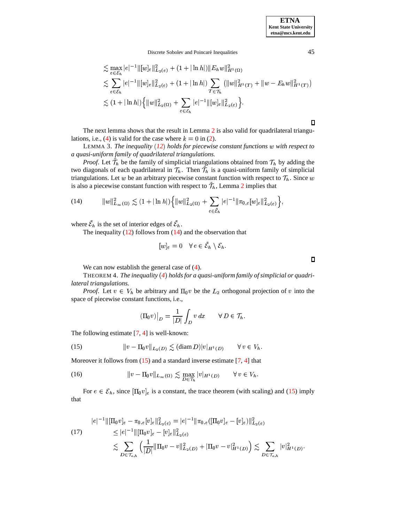<span id="page-3-2"></span>Discrete Sobolev and Poincaré Inequalities 45

$$
\leq \max_{e \in \mathcal{E}_h} |e|^{-1} ||[w]_e||^2_{L_2(e)} + (1 + |\ln h|) ||E_h w||^2_{H^1(\Omega)} \n\leq \sum_{e \in \mathcal{E}_h} |e|^{-1} ||[w]_e||^2_{L_2(e)} + (1 + |\ln h|) \sum_{T \in \mathcal{T}_h} (||w||^2_{H^1(T)} + ||w - E_h w||^2_{H^1(T)}) \n\leq (1 + |\ln h|) \{ ||w||^2_{L_2(\Omega)} + \sum_{e \in \mathcal{E}_h} |e|^{-1} ||[w]_e||^2_{L_2(e)} \}.
$$

<span id="page-3-0"></span> $\Box$ 

The next lemma shows that the result in Lemma [2](#page-2-3) is also valid for quadrilateral triangu-lations, i.e., [\(4\)](#page-1-0) is valid for the case where  $k = 0$  in [\(2\)](#page-1-5).

LEMMA 3. *The inequality* ([12](#page-2-4)) *holds for piecewise constant functions* w with *respect* to \* *a quasi-uniform family of quadrilateral triangulations.*

*Proof.* Let  $\mathcal{T}_h$  be the family of simplicial triangulations obtained from  $\mathcal{T}_h$  by adding the two diagonals of each quadrilateral in  $\mathcal{T}_h$ . Then  $\mathcal{T}_h$  is a quasi-uniform family of simplicial triangulations. Let w be an arbitrary piecewise constant function with respect to  $\mathcal{T}_h$ . Since w is also a piecewise constant function with respect to  $\mathcal{T}_h$ , Lemma [2](#page-2-3) implies that

(14) 
$$
||w||_{L_{\infty}(\Omega)}^2 \lesssim (1+|\ln h|)\Big\{||w||_{L_2(\Omega)}^2+\sum_{e\in\tilde{\mathcal{E}}_h}|e|^{-1}||\pi_{0,e}[w]_e||_{L_2(e)}^2\Big\},\,
$$

where  $\mathcal{E}_h$  is the set of interior edges of  $\mathcal{E}_h$ . .

The inequality  $(12)$  follows from  $(14)$  and the observation that

$$
[w]_e = 0 \quad \forall e \in \mathcal{E}_h \setminus \mathcal{E}_h.
$$

We can now establish the general case of  $(4)$ .

THEOREM 4. *The inequality [4](#page-1-0)* <sup>+</sup> *holdsfor a quasi-uniform family of simplicial or quadrilateral triangulations.*

*Proof.* Let  $v \in V_h$  be arbitrary and  $\Pi_0 v$  be the  $L_2$  orthogonal projection of v into the space of piecewise constant functions, i.e.,

<span id="page-3-1"></span>
$$
(\Pi_0 v)|_D = \frac{1}{|D|} \int_D v \, dx \qquad \forall D \in \mathcal{T}_h.
$$

The following estimate [\[7,](#page-6-0) [4\]](#page-6-1) is well-known:

(15) 
$$
||v - \Pi_0 v||_{L_2(D)} \lesssim (\text{diam } D)|v|_{H^1(D)} \qquad \forall v \in V_h.
$$

Moreover it follows from  $(15)$  and a standard inverse estimate  $[7, 4]$  $[7, 4]$  $[7, 4]$  that

(16) 
$$
||v - \Pi_0 v||_{L_{\infty}(\Omega)} \lesssim \max_{D \in \mathcal{T}_h} |v|_{H^1(D)} \qquad \forall v \in V_h.
$$

For  $e \in \mathcal{E}_h$ , since  $[\Pi_0 v]_e$  is a constant, the trace theorem (with scaling) and [\(15\)](#page-3-1) imply that

<span id="page-3-3"></span>
$$
|e|^{-1} \|\left[\Pi_0 v\right]_e - \pi_{0,e}[v]_e\|_{L_2(e)}^2 = |e|^{-1} \|\pi_{0,e}(\left[\Pi_0 v\right]_e - [v]_e)\|_{L_2(e)}^2
$$
  
\n
$$
\leq |e|^{-1} \|\left[\Pi_0 v\right]_e - [v]_e\|_{L_2(e)}^2
$$
  
\n
$$
\lesssim \sum_{D \in \mathcal{T}_{e,h}} \left(\frac{1}{|D|} \|\Pi_0 v - v\|_{L_2(D)}^2 + \|\Pi_0 v - v\|_{H^1(D)}^2\right) \lesssim \sum_{D \in \mathcal{T}_{e,h}} |v|_{H^1(D)}^2.
$$

 $\Box$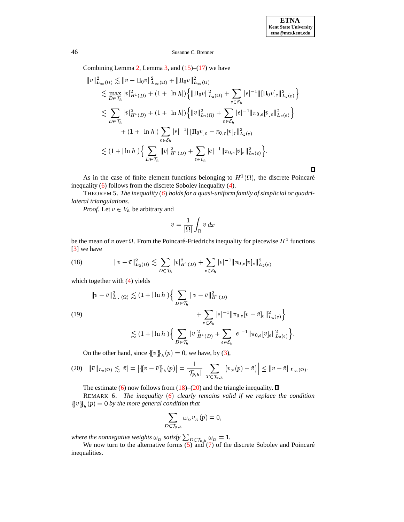### 46 Susanne C. Brenner

Combining Lemma [2,](#page-2-3) Lemma [3,](#page-3-2) and  $(15)$ – $(17)$  we have

$$
\|v\|_{L_{\infty}(\Omega)}^2 \lesssim \|v - \Pi_0 v\|_{L_{\infty}(\Omega)}^2 + \|\Pi_0 v\|_{L_{\infty}(\Omega)}^2
$$
  
\n
$$
\lesssim \max_{D \in \mathcal{T}_h} |v|_{H^1(D)}^2 + (1 + |\ln h|) \left\{ \|\Pi_0 v\|_{L_2(\Omega)}^2 + \sum_{e \in \mathcal{E}_h} |e|^{-1} \|[\Pi_0 v]_e\|_{L_2(e)}^2 \right\}
$$
  
\n
$$
\lesssim \sum_{D \in \mathcal{T}_h} |v|_{H^1(D)}^2 + (1 + |\ln h|) \left\{ \|v\|_{L_2(\Omega)}^2 + \sum_{e \in \mathcal{E}_h} |e|^{-1} \|\pi_{0,e}[v]_e\|_{L_2(e)}^2 \right\}
$$
  
\n
$$
+ (1 + |\ln h|) \sum_{e \in \mathcal{E}_h} |e|^{-1} \|[\Pi_0 v]_e - \pi_{0,e}[v]_e\|_{L_2(e)}^2
$$
  
\n
$$
\lesssim (1 + |\ln h|) \left\{ \sum_{D \in \mathcal{T}_h} \|v\|_{H^1(D)}^2 + \sum_{e \in \mathcal{E}_h} |e|^{-1} \|\pi_{0,e}[v]_e\|_{L_2(e)}^2 \right\}.
$$

As in the case of finite element functions belonging to  $H^1(\Omega)$ , the discrete Poincaré inequality [\(6\)](#page-1-6) follows from the discrete Sobolev inequality [\(4\)](#page-1-0).

THEOREM 5. *The inequality [6](#page-1-6)* <sup>+</sup> *holdsfor a quasi-uniform family of simplicial or quadrilateral triangulations.*

*Proof.* Let  $v \in V_h$  be arbitrary and

$$
\bar{v}=\frac{1}{|\Omega|}\int_{\Omega}v\,dx
$$

<span id="page-4-0"></span>be the mean of v over  $\Omega$ . From the Poincaré-Friedrichs inequality for piecewise  $H^1$  functions [\[3\]](#page-6-5) we have

(18) 
$$
||v - \bar{v}||_{L_2(\Omega)}^2 \lesssim \sum_{D \in \mathcal{T}_h} |v|_{H^1(D)}^2 + \sum_{e \in \mathcal{E}_h} |e|^{-1} ||\pi_{0,e}[v]_e||_{L_2(e)}^2
$$

which together with  $(4)$  yields

$$
\|v - \bar{v}\|_{L_{\infty}(\Omega)}^2 \lesssim (1 + |\ln h|) \Big\{ \sum_{D \in \mathcal{T}_h} \|v - \bar{v}\|_{H^1(D)}^2 + \sum_{e \in \mathcal{E}_h} |e|^{-1} \|\pi_{0,e}[v - \bar{v}]_e\|_{L_2(e)}^2 \Big\} \n\lesssim (1 + |\ln h|) \Big\{ \sum_{D \in \mathcal{T}_h} |v|_{H^1(D)}^2 + \sum_{e \in \mathcal{E}_h} |e|^{-1} \|\pi_{0,e}[v]_e\|_{L_2(e)}^2 \Big\}.
$$

On the other hand, since  $\{ \{v\}_h(p) = 0$ , we have, by [\(3\)](#page-1-2),

$$
(20) \quad \|\bar{v}\|_{L_2(\Omega)} \lesssim |\bar{v}| = \left| \{ (v - \bar{v}) \}_{h}(p) \right| = \frac{1}{|\mathcal{T}_{p,h}|} \left| \sum_{T \in \mathcal{T}_{p,h}} (v_T(p) - \bar{v}) \right| \leq \|v - \bar{v}\|_{L_\infty(\Omega)}.
$$

The estimate [\(6\)](#page-1-6) now follows from  $(18)$ – $(20)$  and the triangle inequality.  $\square$ 

REMARK 6. *The inequality [6](#page-1-6)* <sup>+</sup> *clearly remains valid if we replace the condition*  $\{\{v\}\}\mathfrak{h}_{\mathfrak{h}}(p) = 0$  by the more general condition that

<span id="page-4-1"></span>
$$
\sum_{D\in \mathcal{T}_{p,h}}\omega_{\scriptscriptstyle D}\,v_{\scriptscriptstyle D}\,(p)=0,
$$

*where the nonnegative weights*  $_{p}$  satisfy  $\sum_{D \in \mathcal{T}} \omega_{D} = 1$ .  $_{p} = 1.$ 

. . . . . . . . . . . . . . . . . . .  $\sum_{i=1}^{L}$  and  $\sum_{i=1}^{L}$  of the discre We now turn to the alternative forms  $(5)$  and  $(7)$  of the discrete Sobolev and Poincaré inequalities.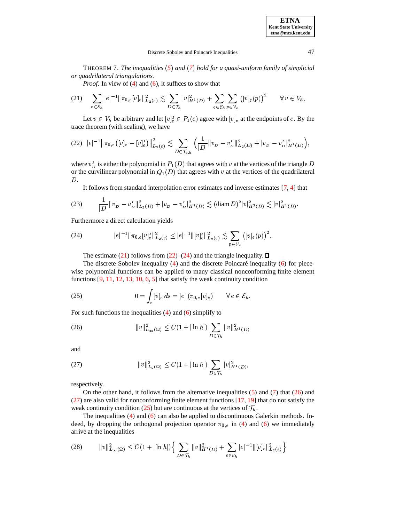THEOREM 7. *The inequalities [5](#page-1-7)* <sup>+</sup> *and [7](#page-1-1)* <sup>+</sup> *holdfor a quasi-uniform family of simplicial or quadrilateral triangulations.*

<span id="page-5-0"></span>*Proof.* In view of [\(4\)](#page-1-0) and [\(6\)](#page-1-6), it suffices to show that

$$
(21) \quad \sum_{e \in \mathcal{E}_h} |e|^{-1} \|\pi_{0,e}[v]_e\|_{L_2(e)}^2 \lesssim \sum_{D \in \mathcal{T}_h} |v|_{H^1(D)}^2 + \sum_{e \in \mathcal{E}_h} \sum_{p \in \mathcal{V}_e} \left( [v]_e(p) \right)^2 \qquad \forall \, v \in V_h.
$$

<span id="page-5-1"></span>Let  $v \in V_h$  be arbitrary and let  $[v]_e^I \in P_1(e)$  agree with  $[v]_e$  at the endpoints of  $e$ . By the trace theorem (with scaling), we have

$$
(22) \quad |e|^{-1} \|\pi_{0,e}([v]_e - [v]_e^I)\|_{L_2(e)}^2 \lesssim \sum_{D \in \mathcal{T}_{e,h}} \Big( \frac{1}{|D|} \|v_D - v_D^I\|_{L_2(D)}^2 + |v_D - v_D^I|_{H^1(D)}^2 \Big),
$$

where  $v<sub>D</sub><sup>T</sup>$  is either the polynomial in  $P<sub>1</sub>(D)$  that agrees with v at the vertices of the triangle D or the curvilinear polynomial in  $Q_1(D)$  that agrees with v at the vertices of the quadrilateral  $D.$ 

<span id="page-5-2"></span>It follows from standard interpolation error estimates and inverse estimates  $[7, 4]$  $[7, 4]$  $[7, 4]$  that

$$
(23) \qquad \frac{1}{|D|} \|v_D - v_D^I\|_{L_2(D)}^2 + |v_D - v_D^I|_{H^1(D)}^2 \lesssim (\text{diam}\, D)^2 |v|_{H^2(D)}^2 \lesssim |v|_{H^1(D)}^2.
$$

Furthermore a direct calculation yields

(24) 
$$
|e|^{-1} \|\pi_{0,e}[v]_e^I\|_{L_2(e)}^2 \leq |e|^{-1} \|[v]_e^I\|_{L_2(e)}^2 \lesssim \sum_{p \in \mathcal{V}_e} \big([v]_e(p)\big)^2.
$$

<span id="page-5-5"></span>The estimate [\(21\)](#page-5-0) follows from [\(22\)](#page-5-1)–[\(24\)](#page-5-2) and the triangle inequality.  $\square$ 

The discrete Sobolev inequality  $(4)$  and the discrete Poincaré inequality  $(6)$  for piecewise polynomial functions can be applied to many classical nonconforming finite element functions [\[9,](#page-6-6) [11,](#page-6-7) [12,](#page-6-8) [13,](#page-6-9) [10,](#page-6-10) [6,](#page-6-11) [5\]](#page-6-12) that satisfy the weak continuity condition

(25) 
$$
0 = \int_{e} [v]_e ds = |e| (\pi_{0,e}[v]_e) \quad \forall e \in \mathcal{E}_h.
$$

<span id="page-5-3"></span>For such functions the inequalities [\(4\)](#page-1-0) and [\(6\)](#page-1-6) simplify to

(26) 
$$
||v||_{L_{\infty}(\Omega)}^2 \leq C(1+|\ln h|) \sum_{D \in \mathcal{T}_h} ||v||_{H^1(D)}^2
$$

<span id="page-5-4"></span>and

(27) 
$$
||v||_{L_2(\Omega)}^2 \leq C(1+|\ln h|) \sum_{D \in \mathcal{T}_h} |v|_{H^1(D)}^2,
$$

respectively.

On the other hand, it follows from the alternative inequalities  $(5)$  and  $(7)$  that  $(26)$  and [\(27\)](#page-5-4) are also valid for nonconforming finite element functions [\[17,](#page-6-13) [19\]](#page-6-14) that do not satisfy the weak continuity condition [\(25\)](#page-5-5) but are continuous at the vertices of  $\mathcal{T}_h$ . .

The inequalities [\(4\)](#page-1-0) and [\(6\)](#page-1-6) can also be applied to discontinuous Galerkin methods. Indeed, by dropping the orthogonal projection operator  $\pi_{0,e}$  in [\(4\)](#page-1-0) and [\(6\)](#page-1-6) we immediately arrive at the inequalities

<span id="page-5-6"></span>
$$
(28) \qquad ||v||_{L_{\infty}(\Omega)}^2 \leq C(1+|\ln h|)\Big\{\sum_{D\in\mathcal{T}_h}||v||_{H^1(D)}^2+\sum_{e\in\mathcal{E}_h}|e|^{-1}||[v]_e||_{L_2(e)}^2\Big\}
$$